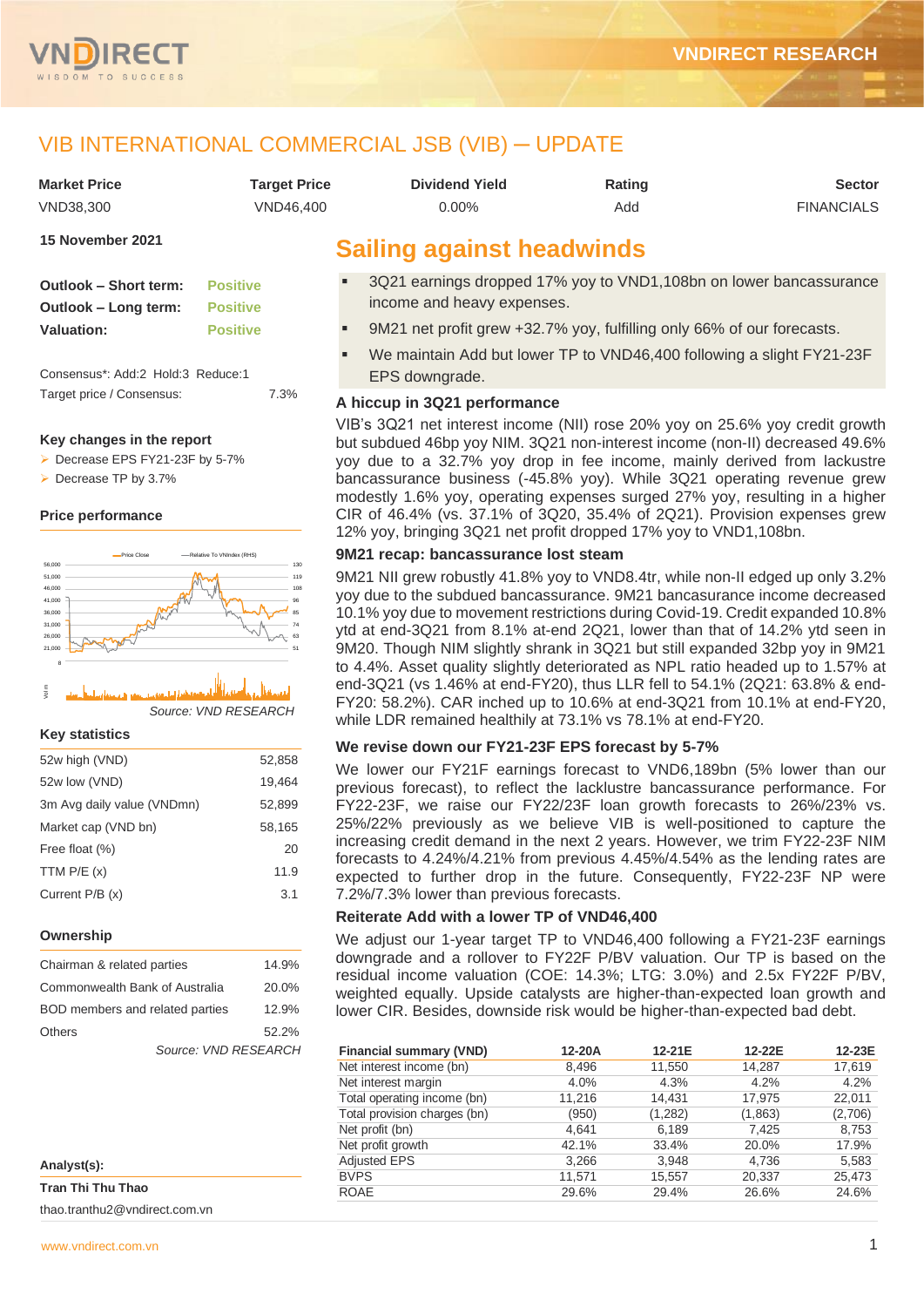

## VIB INTERNATIONAL COMMERCIAL JSB (VIB) ─ UPDATE

| <b>Market Price</b> | Tarqet Price | <b>Dividend Yield</b>            | Rating | <b>Sector</b>     |
|---------------------|--------------|----------------------------------|--------|-------------------|
| VND38.300           | VND46.400    | 0.00%                            | Add    | <b>FINANCIALS</b> |
| 15 November 2021    |              | <b>Sailing against headwinds</b> |        |                   |

| Outlook - Short term: | <b>Positive</b> |
|-----------------------|-----------------|
| Outlook – Long term:  | <b>Positive</b> |
| <b>Valuation:</b>     | <b>Positive</b> |

Consensus\*: Add:2 Hold:3 Reduce:1 Target price / Consensus: 7.3%

#### **Key changes in the report**

➢ Decrease EPS FY21-23F by 5-7%

➢ Decrease TP by 3.7%

#### **Price performance**



<sup>5</sup> مستقل المستقلة المستقلة المستقلة المستقلة المستقلة المستقلة المستقلة المستقلة المستقلة المستقلة المستقلة ال<br>Source: VND RESEARCH

#### **Key statistics**

| 52w high (VND)             | 52.858 |
|----------------------------|--------|
| 52w low (VND)              | 19,464 |
| 3m Avg daily value (VNDmn) | 52,899 |
| Market cap (VND bn)        | 58,165 |
| Free float (%)             | 20     |
| TTM $P/E(x)$               | 11.9   |
| Current P/B (x)            | 3.1    |
|                            |        |

#### **Ownership**

| Chairman & related parties      | 14.9% |
|---------------------------------|-------|
| Commonwealth Bank of Australia  | 20.0% |
| BOD members and related parties | 12.9% |
| <b>Others</b>                   | 52.2% |
| Source: VND RESEARCH            |       |

| Analyst(s):       |  |
|-------------------|--|
| Tran Thi Thu Thao |  |

thao.tranthu2@vndirect.com.vn

- 3Q21 earnings dropped 17% yoy to VND1,108bn on lower bancassurance income and heavy expenses.
- 9M21 net profit grew +32.7% yoy, fulfilling only 66% of our forecasts.
- We maintain Add but lower TP to VND46,400 following a slight FY21-23F EPS downgrade.

#### **A hiccup in 3Q21 performance**

VIB's 3Q21 net interest income (NII) rose 20% yoy on 25.6% yoy credit growth but subdued 46bp yoy NIM. 3Q21 non-interest income (non-II) decreased 49.6% yoy due to a 32.7% yoy drop in fee income, mainly derived from lackustre bancassurance business (-45.8% yoy). While 3Q21 operating revenue grew modestly 1.6% yoy, operating expenses surged 27% yoy, resulting in a higher CIR of 46.4% (vs. 37.1% of 3Q20, 35.4% of 2Q21). Provision expenses grew 12% yoy, bringing 3Q21 net profit dropped 17% yoy to VND1,108bn.

#### **9M21 recap: bancassurance lost steam**

9M21 NII grew robustly 41.8% yoy to VND8.4tr, while non-II edged up only 3.2% yoy due to the subdued bancassurance. 9M21 bancasurance income decreased 10.1% yoy due to movement restrictions during Covid-19. Credit expanded 10.8% ytd at end-3Q21 from 8.1% at-end 2Q21, lower than that of 14.2% ytd seen in 9M20. Though NIM slightly shrank in 3Q21 but still expanded 32bp yoy in 9M21 to 4.4%. Asset quality slightly deteriorated as NPL ratio headed up to 1.57% at end-3Q21 (vs 1.46% at end-FY20), thus LLR fell to 54.1% (2Q21: 63.8% & end-FY20: 58.2%). CAR inched up to 10.6% at end-3Q21 from 10.1% at end-FY20, while LDR remained healthily at 73.1% vs 78.1% at end-FY20.

#### **We revise down our FY21-23F EPS forecast by 5-7%**

We lower our FY21F earnings forecast to VND6,189bn (5% lower than our previous forecast), to reflect the lacklustre bancassurance performance. For FY22-23F, we raise our FY22/23F loan growth forecasts to 26%/23% vs. 25%/22% previously as we believe VIB is well-positioned to capture the increasing credit demand in the next 2 years. However, we trim FY22-23F NIM forecasts to 4.24%/4.21% from previous 4.45%/4.54% as the lending rates are expected to further drop in the future. Consequently, FY22-23F NP were 7.2%/7.3% lower than previous forecasts.

#### **Reiterate Add with a lower TP of VND46,400**

We adjust our 1-year target TP to VND46,400 following a FY21-23F earnings downgrade and a rollover to FY22F P/BV valuation. Our TP is based on the residual income valuation (COE: 14.3%; LTG: 3.0%) and 2.5x FY22F P/BV, weighted equally. Upside catalysts are higher-than-expected loan growth and lower CIR. Besides, downside risk would be higher-than-expected bad debt.

| <b>Financial summary (VND)</b> | 12-20A | 12-21E  | 12-22E  | 12-23E  |
|--------------------------------|--------|---------|---------|---------|
| Net interest income (bn)       | 8.496  | 11,550  | 14.287  | 17,619  |
| Net interest margin            | 4.0%   | 4.3%    | 4.2%    | 4.2%    |
| Total operating income (bn)    | 11,216 | 14.431  | 17,975  | 22,011  |
| Total provision charges (bn)   | (950)  | (1,282) | (1,863) | (2,706) |
| Net profit (bn)                | 4.641  | 6,189   | 7.425   | 8,753   |
| Net profit growth              | 42.1%  | 33.4%   | 20.0%   | 17.9%   |
| <b>Adjusted EPS</b>            | 3,266  | 3,948   | 4.736   | 5,583   |
| <b>BVPS</b>                    | 11.571 | 15,557  | 20,337  | 25,473  |
| <b>ROAE</b>                    | 29.6%  | 29.4%   | 26.6%   | 24.6%   |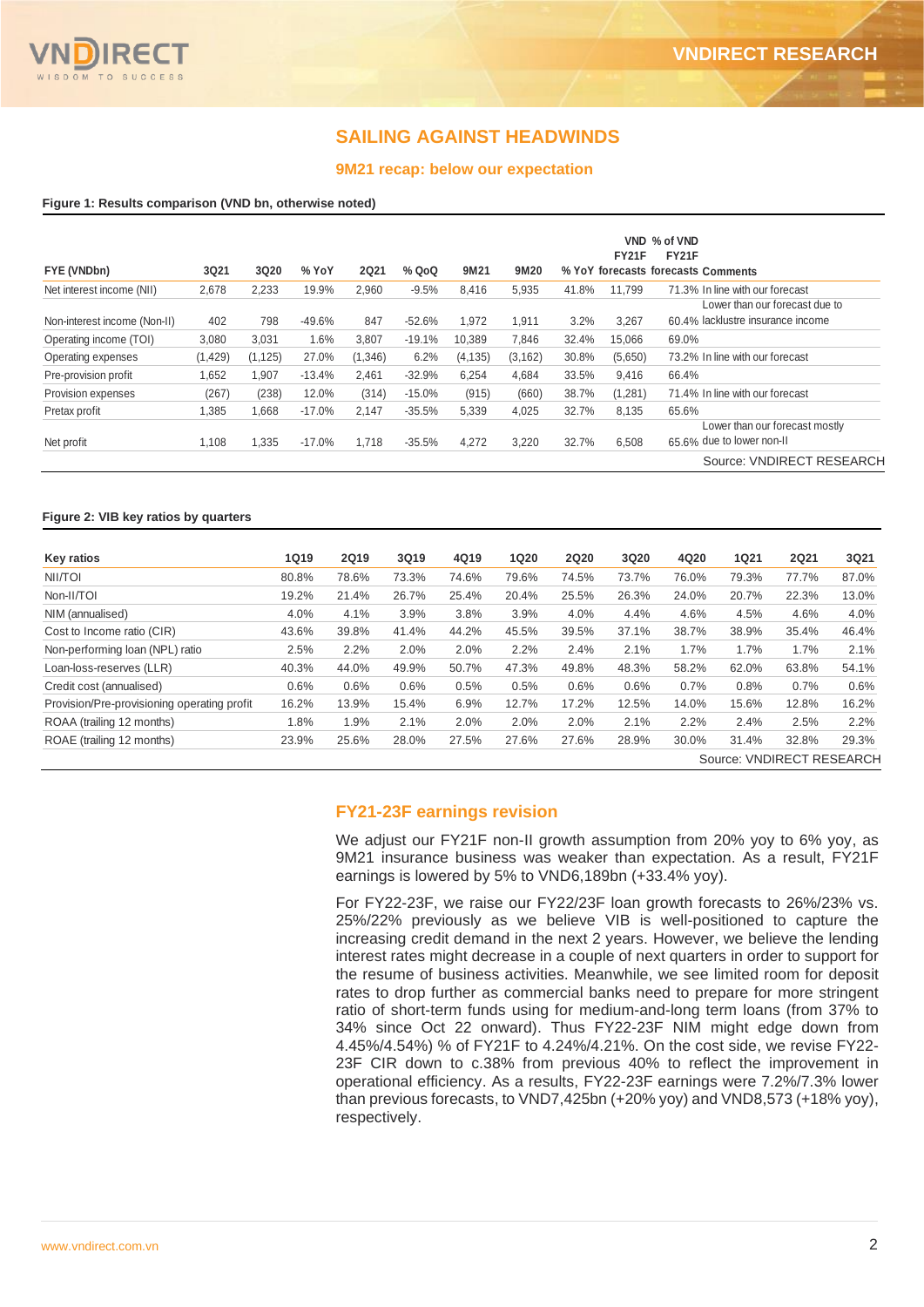## **SAILING AGAINST HEADWINDS**

#### **9M21 recap: below our expectation**

#### **Figure 1: Results comparison (VND bn, otherwise noted)**

|                              |          |          |          |             |          |          |          |       |              | VND % of VND                       |
|------------------------------|----------|----------|----------|-------------|----------|----------|----------|-------|--------------|------------------------------------|
|                              |          |          |          |             |          |          |          |       | <b>FY21F</b> | <b>FY21F</b>                       |
| FYE (VNDbn)                  | 3Q21     | 3Q20     | % YoY    | <b>2Q21</b> | % QoQ    | 9M21     | 9M20     |       |              | % YoY forecasts forecasts Comments |
| Net interest income (NII)    | 2.678    | 2.233    | 19.9%    | 2.960       | $-9.5%$  | 8.416    | 5,935    | 41.8% | 11.799       | 71.3% In line with our forecast    |
|                              |          |          |          |             |          |          |          |       |              | Lower than our forecast due to     |
| Non-interest income (Non-II) | 402      | 798      | $-49.6%$ | 847         | $-52.6%$ | 1.972    | 1.911    | 3.2%  | 3,267        | 60.4% lacklustre insurance income  |
| Operating income (TOI)       | 3,080    | 3,031    | 1.6%     | 3,807       | $-19.1%$ | 10.389   | 7,846    | 32.4% | 15.066       | 69.0%                              |
| Operating expenses           | (1, 429) | (1, 125) | 27.0%    | (1,346)     | 6.2%     | (4, 135) | (3, 162) | 30.8% | (5,650)      | 73.2% In line with our forecast    |
| Pre-provision profit         | 1.652    | 1.907    | $-13.4%$ | 2.461       | $-32.9%$ | 6.254    | 4.684    | 33.5% | 9.416        | 66.4%                              |
| Provision expenses           | (267)    | (238)    | 12.0%    | (314)       | $-15.0%$ | (915)    | (660)    | 38.7% | (1,281)      | 71.4% In line with our forecast    |
| Pretax profit                | 1,385    | 1,668    | $-17.0%$ | 2.147       | $-35.5%$ | 5,339    | 4,025    | 32.7% | 8,135        | 65.6%                              |
|                              |          |          |          |             |          |          |          |       |              | Lower than our forecast mostly     |
| Net profit                   | 1,108    | 1,335    | $-17.0%$ | 1.718       | $-35.5%$ | 4,272    | 3.220    | 32.7% | 6,508        | 65.6% due to lower non-II          |
|                              |          |          |          |             |          |          |          |       |              | Source: VNDIRECT RESEARCH          |

#### **Figure 2: VIB key ratios by quarters**

| <b>Key ratios</b>                           | <b>1Q19</b> | <b>2Q19</b> | 3Q19  | 4Q19  | 1Q20  | <b>2Q20</b> | 3Q20  | 4Q20  | <b>1Q21</b> | <b>2Q21</b>               | 3Q21  |
|---------------------------------------------|-------------|-------------|-------|-------|-------|-------------|-------|-------|-------------|---------------------------|-------|
| NII/TOI                                     | 80.8%       | 78.6%       | 73.3% | 74.6% | 79.6% | 74.5%       | 73.7% | 76.0% | 79.3%       | 77.7%                     | 87.0% |
| Non-II/TOI                                  | 19.2%       | 21.4%       | 26.7% | 25.4% | 20.4% | 25.5%       | 26.3% | 24.0% | 20.7%       | 22.3%                     | 13.0% |
| NIM (annualised)                            | 4.0%        | 4.1%        | 3.9%  | 3.8%  | 3.9%  | 4.0%        | 4.4%  | 4.6%  | 4.5%        | 4.6%                      | 4.0%  |
| Cost to Income ratio (CIR)                  | 43.6%       | 39.8%       | 41.4% | 44.2% | 45.5% | 39.5%       | 37.1% | 38.7% | 38.9%       | 35.4%                     | 46.4% |
| Non-performing loan (NPL) ratio             | 2.5%        | 2.2%        | 2.0%  | 2.0%  | 2.2%  | 2.4%        | 2.1%  | 1.7%  | 1.7%        | 1.7%                      | 2.1%  |
| Loan-loss-reserves (LLR)                    | 40.3%       | 44.0%       | 49.9% | 50.7% | 47.3% | 49.8%       | 48.3% | 58.2% | 62.0%       | 63.8%                     | 54.1% |
| Credit cost (annualised)                    | 0.6%        | 0.6%        | 0.6%  | 0.5%  | 0.5%  | 0.6%        | 0.6%  | 0.7%  | 0.8%        | 0.7%                      | 0.6%  |
| Provision/Pre-provisioning operating profit | 16.2%       | 13.9%       | 15.4% | 6.9%  | 12.7% | 17.2%       | 12.5% | 14.0% | 15.6%       | 12.8%                     | 16.2% |
| ROAA (trailing 12 months)                   | 1.8%        | 1.9%        | 2.1%  | 2.0%  | 2.0%  | 2.0%        | 2.1%  | 2.2%  | 2.4%        | 2.5%                      | 2.2%  |
| ROAE (trailing 12 months)                   | 23.9%       | 25.6%       | 28.0% | 27.5% | 27.6% | 27.6%       | 28.9% | 30.0% | 31.4%       | 32.8%                     | 29.3% |
|                                             |             |             |       |       |       |             |       |       |             | Source: VNDIRECT RESEARCH |       |

#### **FY21-23F earnings revision**

We adjust our FY21F non-II growth assumption from 20% yoy to 6% yoy, as 9M21 insurance business was weaker than expectation. As a result, FY21F earnings is lowered by 5% to VND6,189bn (+33.4% yoy).

For FY22-23F, we raise our FY22/23F loan growth forecasts to 26%/23% vs. 25%/22% previously as we believe VIB is well-positioned to capture the increasing credit demand in the next 2 years. However, we believe the lending interest rates might decrease in a couple of next quarters in order to support for the resume of business activities. Meanwhile, we see limited room for deposit rates to drop further as commercial banks need to prepare for more stringent ratio of short-term funds using for medium-and-long term loans (from 37% to 34% since Oct 22 onward). Thus FY22-23F NIM might edge down from 4.45%/4.54%) % of FY21F to 4.24%/4.21%. On the cost side, we revise FY22- 23F CIR down to c.38% from previous 40% to reflect the improvement in operational efficiency. As a results, FY22-23F earnings were 7.2%/7.3% lower than previous forecasts, to VND7,425bn (+20% yoy) and VND8,573 (+18% yoy), respectively.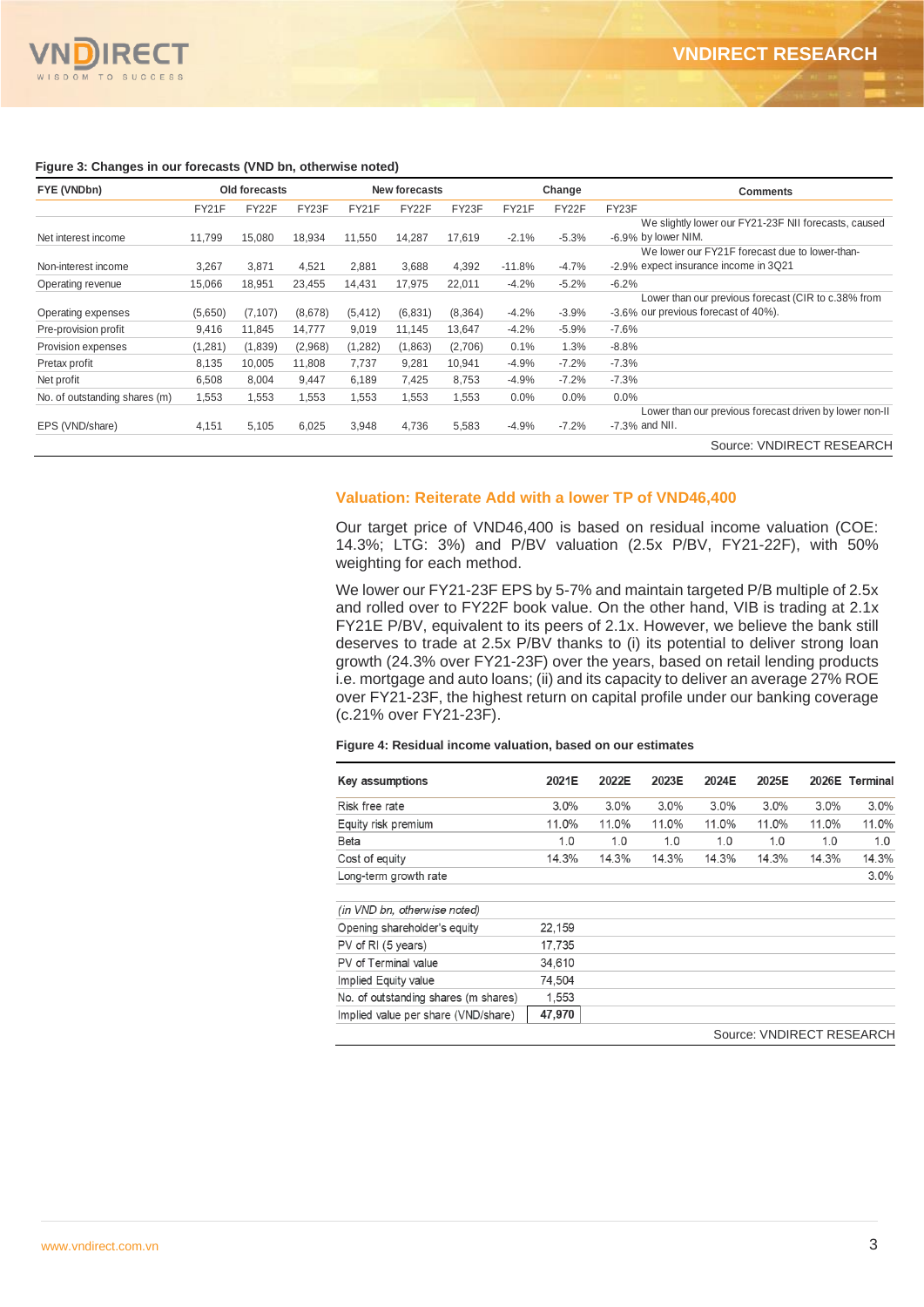

#### **VNDIRECT RESEARCH**

#### **Figure 3: Changes in our forecasts (VND bn, otherwise noted)**

| FYE (VNDbn)                   | Old forecasts |          |         | <b>New forecasts</b> |         |          |          | Change  | <b>Comments</b>                                                                             |
|-------------------------------|---------------|----------|---------|----------------------|---------|----------|----------|---------|---------------------------------------------------------------------------------------------|
|                               | FY21F         | FY22F    | FY23F   | FY21F                | FY22F   | FY23F    | FY21F    | FY22F   | FY23F                                                                                       |
| Net interest income           | 11.799        | 15,080   | 18,934  | 11,550               | 14,287  | 17,619   | $-2.1%$  | $-5.3%$ | We slightly lower our FY21-23F NII forecasts, caused<br>-6.9% by lower NIM.                 |
| Non-interest income           | 3,267         | 3,871    | 4,521   | 2,881                | 3,688   | 4,392    | $-11.8%$ | $-4.7%$ | We lower our FY21F forecast due to lower-than-<br>-2.9% expect insurance income in 3Q21     |
| Operating revenue             | 15,066        | 18,951   | 23,455  | 14,431               | 17,975  | 22.011   | $-4.2%$  | $-5.2%$ | $-6.2%$                                                                                     |
| Operating expenses            | (5,650)       | (7, 107) | (8,678) | (5, 412)             | (6,831) | (8, 364) | $-4.2%$  | $-3.9%$ | Lower than our previous forecast (CIR to c.38% from<br>-3.6% our previous forecast of 40%). |
| Pre-provision profit          | 9,416         | 11,845   | 14,777  | 9,019                | 11,145  | 13,647   | $-4.2%$  | $-5.9%$ | $-7.6%$                                                                                     |
| Provision expenses            | (1, 281)      | (1,839)  | (2,968) | (1,282)              | (1,863) | (2,706)  | 0.1%     | 1.3%    | $-8.8%$                                                                                     |
| Pretax profit                 | 8,135         | 10,005   | 11,808  | 7,737                | 9,281   | 10,941   | $-4.9%$  | $-7.2%$ | $-7.3%$                                                                                     |
| Net profit                    | 6,508         | 8,004    | 9,447   | 6,189                | 7,425   | 8,753    | $-4.9%$  | $-7.2%$ | $-7.3%$                                                                                     |
| No. of outstanding shares (m) | 1,553         | 1,553    | 1,553   | 1,553                | 1,553   | 1,553    | 0.0%     | $0.0\%$ | $0.0\%$                                                                                     |
|                               |               |          |         |                      |         |          |          |         | Lower than our previous forecast driven by lower non-II                                     |
| EPS (VND/share)               | 4,151         | 5,105    | 6,025   | 3,948                | 4,736   | 5,583    | $-4.9%$  | $-7.2%$ | $-7.3%$ and NII.                                                                            |
|                               |               |          |         |                      |         |          |          |         | Source: VNDIRECT RESEARCH                                                                   |

#### **Valuation: Reiterate Add with a lower TP of VND46,400**

Our target price of VND46,400 is based on residual income valuation (COE: 14.3%; LTG: 3%) and P/BV valuation (2.5x P/BV, FY21-22F), with 50% weighting for each method.

We lower our FY21-23F EPS by 5-7% and maintain targeted P/B multiple of 2.5x and rolled over to FY22F book value. On the other hand, VIB is trading at 2.1x FY21E P/BV, equivalent to its peers of 2.1x. However, we believe the bank still deserves to trade at 2.5x P/BV thanks to (i) its potential to deliver strong loan growth (24.3% over FY21-23F) over the years, based on retail lending products i.e. mortgage and auto loans; (ii) and its capacity to deliver an average 27% ROE over FY21-23F, the highest return on capital profile under our banking coverage (c.21% over FY21-23F).

#### **Figure 4: Residual income valuation, based on our estimates**

| Key assumptions                      | 2021E  | 2022E | 2023E | 2024E | 2025E                    |       | 2026E Terminal |
|--------------------------------------|--------|-------|-------|-------|--------------------------|-------|----------------|
| Risk free rate                       | 3.0%   | 3.0%  | 3.0%  | 3.0%  | 3.0%                     | 3.0%  | $3.0\%$        |
| Equity risk premium                  | 11.0%  | 11.0% | 11.0% | 11.0% | 11.0%                    | 11.0% | 11.0%          |
| Beta                                 | 1.0    | 1.0   | 1.0   | 1.0   | 1.0                      | 1.0   | 1.0            |
| Cost of equity                       | 14.3%  | 14.3% | 14.3% | 14.3% | 14.3%                    | 14.3% | 14.3%          |
| Long-term growth rate                |        |       |       |       |                          |       | $3.0\%$        |
| (in VND bn, otherwise noted)         |        |       |       |       |                          |       |                |
| Opening shareholder's equity         | 22,159 |       |       |       |                          |       |                |
| PV of RI (5 years)                   | 17,735 |       |       |       |                          |       |                |
| PV of Terminal value                 | 34,610 |       |       |       |                          |       |                |
| Implied Equity value                 | 74.504 |       |       |       |                          |       |                |
| No. of outstanding shares (m shares) | 1,553  |       |       |       |                          |       |                |
| Implied value per share (VND/share)  | 47,970 |       |       |       |                          |       |                |
|                                      |        |       |       |       | SOUICA VNDIRECT RESEARCH |       |                |

Source: VNDIRECT RESEARCH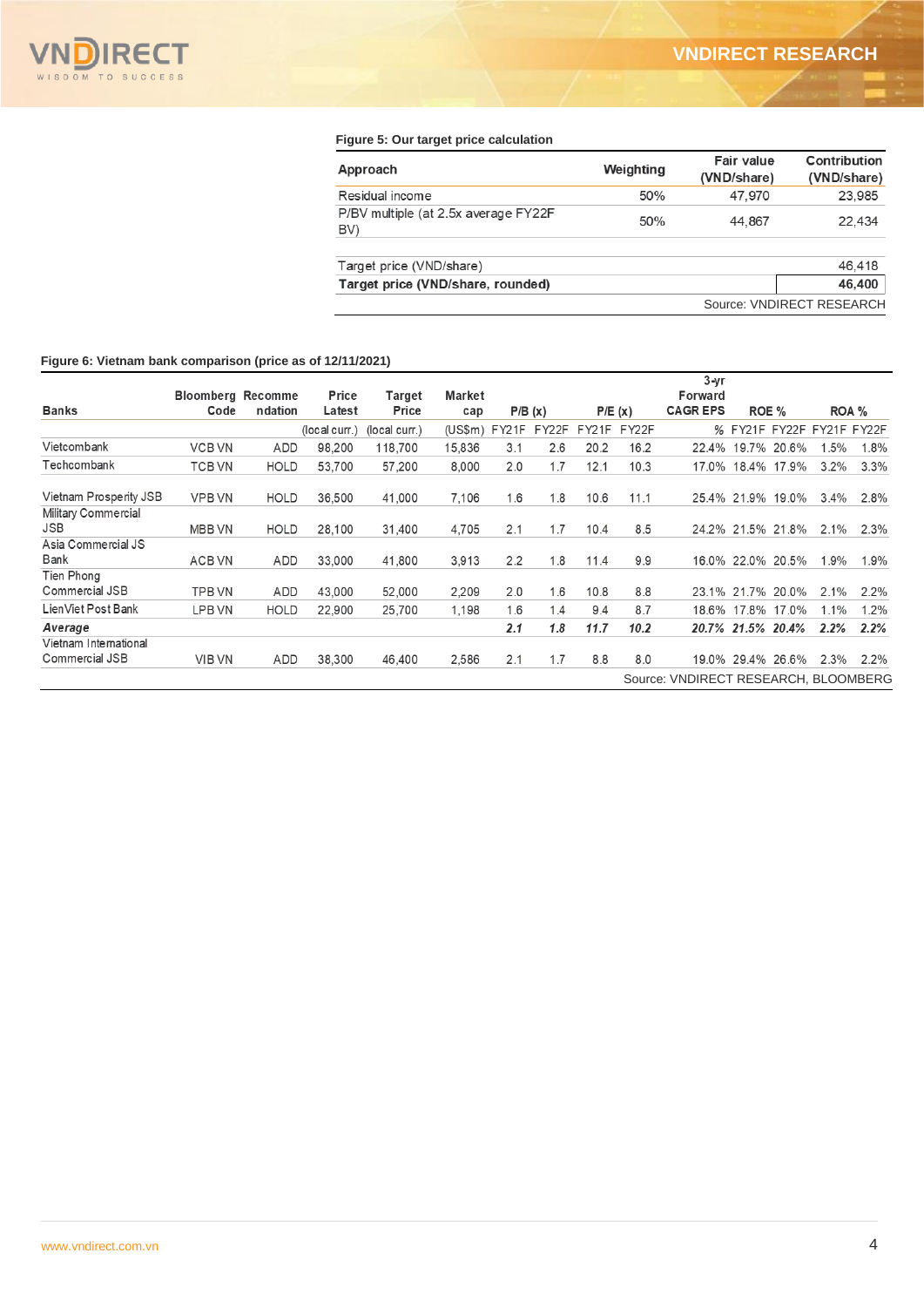

#### **Figure 5: Our target price calculation**

| Approach                                     | Weighting | Fair value<br>(VND/share) | Contribution<br>(VND/share) |
|----------------------------------------------|-----------|---------------------------|-----------------------------|
| Residual income                              | 50%       | 47,970                    | 23,985                      |
| P/BV multiple (at 2.5x average FY22F)<br>BV) | 50%       | 44,867                    | 22,434                      |
| Target price (VND/share)                     |           |                           | 46.418                      |
| Target price (VND/share, rounded)            |           |                           | 46,400                      |
|                                              |           |                           | Source: VNDIRECT RESEARCH   |

#### **Figure 6: Vietnam bank comparison (price as of 12/11/2021)**

|                                   | <b>Bloomberg Recomme</b> |             | Price         | Target        | Market        |     |        |       |        | 3-yr<br>Forward                      |                   |         |                           |
|-----------------------------------|--------------------------|-------------|---------------|---------------|---------------|-----|--------|-------|--------|--------------------------------------|-------------------|---------|---------------------------|
| Banks                             | Code                     | ndation     | Latest        | Price         | cap           |     | P/B(x) |       | P/E(x) | <b>CAGREPS</b>                       | ROE %             | ROA %   |                           |
|                                   |                          |             | (local curr.) | (local curr.) | (US\$m) FY21F |     | FY22F  | FY21F | FY22F  |                                      |                   |         | % FY21F FY22F FY21F FY22F |
| Vietcombank                       | <b>VCB VN</b>            | ADD         | 98,200        | 118,700       | 15,836        | 3.1 | 2.6    | 20.2  | 16.2   |                                      | 22.4% 19.7% 20.6% | 1.5%    | 1.8%                      |
| Techcombank                       | <b>TCB VN</b>            | <b>HOLD</b> | 53.700        | 57.200        | 8.000         | 2.0 | 1.7    | 12.1  | 10.3   |                                      | 17.0% 18.4% 17.9% | $3.2\%$ | 3.3%                      |
| Vietnam Prosperity JSB            | <b>VPB VN</b>            | <b>HOLD</b> | 36,500        | 41,000        | 7,106         | 1.6 | 1.8    | 10.6  | 11.1   |                                      | 25.4% 21.9% 19.0% | $3.4\%$ | 2.8%                      |
| Military Commercial<br><b>JSB</b> | <b>MBB VN</b>            | <b>HOLD</b> | 28,100        | 31,400        | 4.705         | 2.1 | 1.7    | 10.4  | 8.5    |                                      | 24.2% 21.5% 21.8% | 2.1%    | 2.3%                      |
| Asia Commercial JS                |                          |             |               |               |               |     |        |       |        |                                      |                   |         |                           |
| Bank                              | ACB VN                   | ADD         | 33,000        | 41,800        | 3.913         | 2.2 | 1.8    | 11.4  | 9.9    |                                      | 16.0% 22.0% 20.5% | $1.9\%$ | 1.9%                      |
| Tien Phong                        |                          |             |               |               |               |     |        |       |        |                                      |                   |         |                           |
| Commercial JSB                    | <b>TPB VN</b>            | ADD         | 43,000        | 52,000        | 2,209         | 2.0 | 1.6    | 10.8  | 8.8    |                                      | 23.1% 21.7% 20.0% | 2.1%    | $2.2\%$                   |
| LienViet Post Bank                | LPB VN                   | <b>HOLD</b> | 22,900        | 25,700        | 1,198         | 1.6 | 1.4    | 9.4   | 8.7    |                                      | 18.6% 17.8% 17.0% | 1.1%    | $1.2\%$                   |
| Average                           |                          |             |               |               |               | 2.1 | 1.8    | 11.7  | 10.2   |                                      | 20.7% 21.5% 20.4% | 2.2%    | 2.2%                      |
| Vietnam International             |                          |             |               |               |               |     |        |       |        |                                      |                   |         |                           |
| Commercial JSB                    | <b>VIB VN</b>            | ADD         | 38,300        | 46,400        | 2,586         | 2.1 | 1.7    | 8.8   | 8.0    |                                      | 19.0% 29.4% 26.6% | 2.3%    | $2.2\%$                   |
|                                   |                          |             |               |               |               |     |        |       |        | Source: VNDIRECT RESEARCH, BLOOMBERG |                   |         |                           |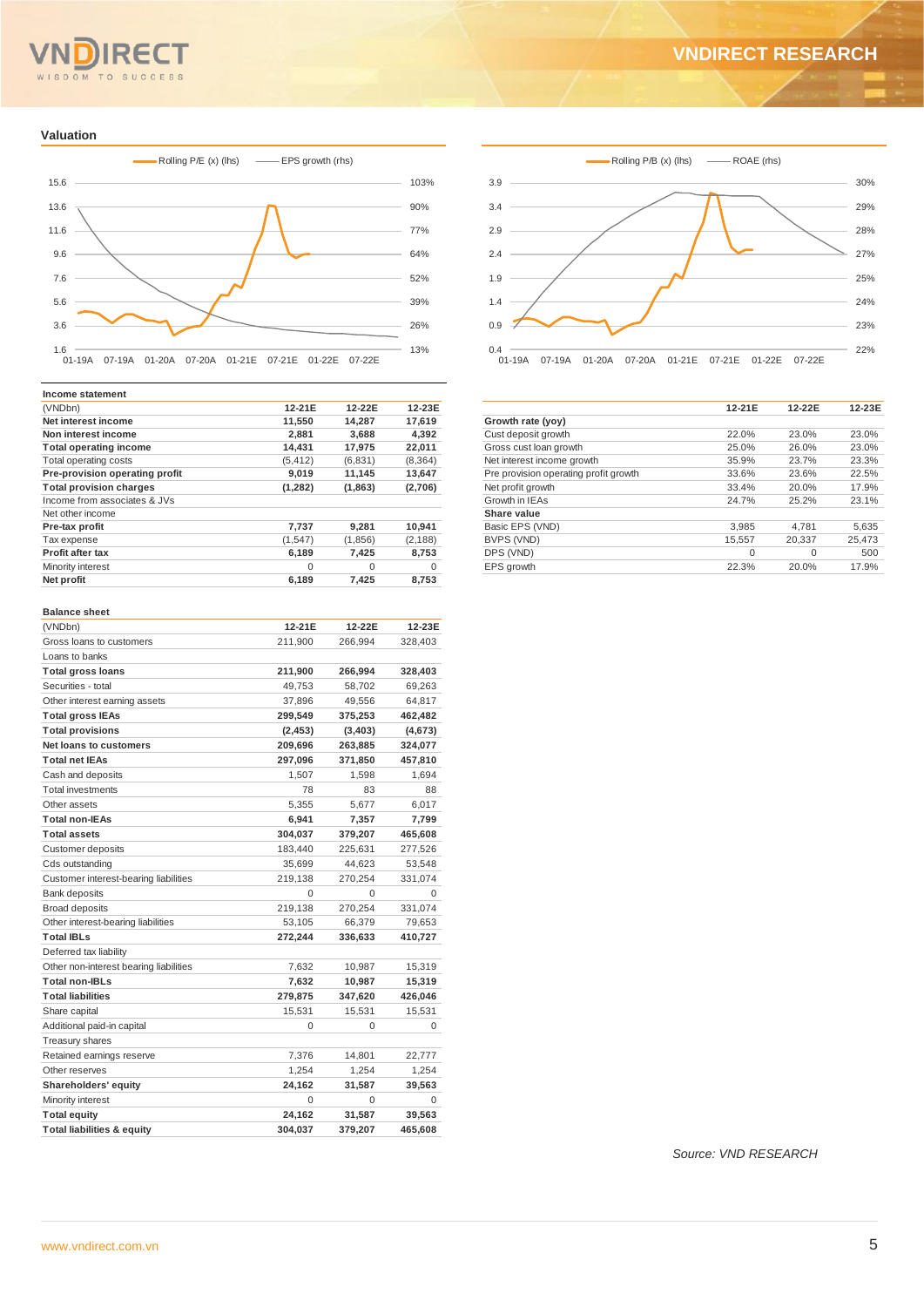# WISDOM TO SUCCESS

## **VNDIRECT RESEARCH**

#### **Valuation**



| Income statement               |          |          |          |
|--------------------------------|----------|----------|----------|
| (VNDbn)                        | 12-21E   | 12-22E   | 12-23E   |
| Net interest income            | 11,550   | 14,287   | 17.619   |
| Non interest income            | 2,881    | 3,688    | 4,392    |
| <b>Total operating income</b>  | 14,431   | 17,975   | 22,011   |
| Total operating costs          | (5, 412) | (6,831)  | (8,364)  |
| Pre-provision operating profit | 9,019    | 11,145   | 13,647   |
| <b>Total provision charges</b> | (1,282)  | (1,863)  | (2,706)  |
| Income from associates & JVs   |          |          |          |
| Net other income               |          |          |          |
| Pre-tax profit                 | 7,737    | 9.281    | 10,941   |
| Tax expense                    | (1,547)  | (1,856)  | (2, 188) |
| <b>Profit after tax</b>        | 6,189    | 7,425    | 8,753    |
| Minority interest              | $\Omega$ | $\Omega$ | $\Omega$ |
| Net profit                     | 6,189    | 7,425    | 8,753    |
|                                |          |          |          |

#### **Balance sheet**

| (VNDbn)                                | 12-21E   | 12-22E   | 12-23E  |
|----------------------------------------|----------|----------|---------|
| Gross loans to customers               | 211,900  | 266,994  | 328,403 |
| Loans to banks                         |          |          |         |
| <b>Total gross loans</b>               | 211,900  | 266,994  | 328,403 |
| Securities - total                     | 49,753   | 58,702   | 69,263  |
| Other interest earning assets          | 37,896   | 49,556   | 64,817  |
| <b>Total gross IEAs</b>                | 299,549  | 375,253  | 462,482 |
| <b>Total provisions</b>                | (2, 453) | (3, 403) | (4,673) |
| Net loans to customers                 | 209,696  | 263,885  | 324,077 |
| <b>Total net IEAs</b>                  | 297,096  | 371,850  | 457,810 |
| Cash and deposits                      | 1,507    | 1,598    | 1,694   |
| <b>Total investments</b>               | 78       | 83       | 88      |
| Other assets                           | 5,355    | 5,677    | 6,017   |
| <b>Total non-IEAs</b>                  | 6,941    | 7,357    | 7,799   |
| <b>Total assets</b>                    | 304,037  | 379,207  | 465,608 |
| Customer deposits                      | 183,440  | 225,631  | 277,526 |
| Cds outstanding                        | 35,699   | 44,623   | 53,548  |
| Customer interest-bearing liabilities  | 219,138  | 270,254  | 331,074 |
| <b>Bank deposits</b>                   | $\Omega$ | $\Omega$ | 0       |
| <b>Broad deposits</b>                  | 219,138  | 270,254  | 331,074 |
| Other interest-bearing liabilities     | 53,105   | 66,379   | 79,653  |
| <b>Total IBLs</b>                      | 272,244  | 336,633  | 410,727 |
| Deferred tax liability                 |          |          |         |
| Other non-interest bearing liabilities | 7,632    | 10,987   | 15,319  |
| <b>Total non-IBLs</b>                  | 7,632    | 10,987   | 15,319  |
| <b>Total liabilities</b>               | 279,875  | 347,620  | 426,046 |
| Share capital                          | 15,531   | 15,531   | 15,531  |
| Additional paid-in capital             | 0        | 0        | 0       |
| Treasury shares                        |          |          |         |
| Retained earnings reserve              | 7,376    | 14,801   | 22,777  |
| Other reserves                         | 1.254    | 1,254    | 1,254   |
| Shareholders' equity                   | 24,162   | 31,587   | 39,563  |
| Minority interest                      | $\Omega$ | $\Omega$ | 0       |
| <b>Total equity</b>                    | 24,162   | 31,587   | 39,563  |
| <b>Total liabilities &amp; equity</b>  | 304,037  | 379,207  | 465,608 |
|                                        |          |          |         |



|                                       | 12-21E | 12-22E | 12-23E |
|---------------------------------------|--------|--------|--------|
| Growth rate (yoy)                     |        |        |        |
| Cust deposit growth                   | 22.0%  | 23.0%  | 23.0%  |
| Gross cust loan growth                | 25.0%  | 26.0%  | 23.0%  |
| Net interest income growth            | 35.9%  | 23.7%  | 23.3%  |
| Pre provision operating profit growth | 33.6%  | 23.6%  | 22.5%  |
| Net profit growth                     | 33.4%  | 20.0%  | 17.9%  |
| Growth in IEAs                        | 24.7%  | 25.2%  | 23.1%  |
| Share value                           |        |        |        |
| Basic EPS (VND)                       | 3.985  | 4.781  | 5.635  |
| BVPS (VND)                            | 15,557 | 20.337 | 25.473 |
| DPS (VND)                             | 0      | 0      | 500    |
| EPS growth                            | 22.3%  | 20.0%  | 17.9%  |

*Source: VND RESEARCH*